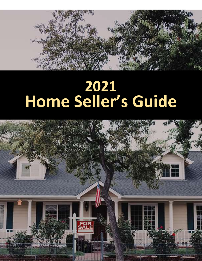

# **Home Seller's Guide**

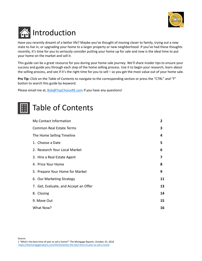

# **Introduction**

Have you recently dreamt of a better life? Maybe you've thought of moving closer to family, trying out a new state to live in, or upgrading your home to a larger property or new neighborhood. If you've had these thoughts recently, it's time for you to seriously consider putting your home up for sale and now is the ideal time to put your home on the market and sell it.

This guide can be a great resource for you during your home sale journey. We'll share insider tips to ensure your success and guide you through each step of the home selling process. Use it to begin your research, learn about the selling process, and see if it's the right time for you to sell – so you get the most value out of your home sale.

**Pro Tip:** Click on the Table of Contents to navigate to the corresponding section or press the "CTRL" and "F" button to search this guide by keyword.

Please email me at, **Bob@TopChoiceRE.com** if you have any questions!

# Table of Contents

| My Contact Information                |    |
|---------------------------------------|----|
| <b>Common Real Estate Terms</b>       | 3  |
| The Home Selling Timeline             | 4  |
| 1. Choose a Date                      | 5  |
| 2. Research Your Local Market         | 6  |
| 3. Hire a Real Estate Agent           | 7  |
| 4. Price Your Home                    | 8  |
| 5. Prepare Your Home for Market       | 9  |
| 6. Our Marketing Strategy             | 11 |
| 7. Get, Evaluate, and Accept an Offer | 13 |
| 8. Closing                            | 14 |
| 9. Move Out                           | 15 |
| What Now?                             |    |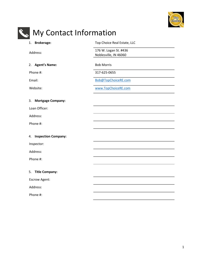

<span id="page-2-0"></span>

Noblesville, IN 46060

2. **Agent's Name:** Bob Morris

Phone #: 317-625-0655

Email: [Bob@TopChoiceRE.com](mailto:Bob@TopChoiceRE.com)

Website: [www.TopChoiceRE.com](http://www.topchoicere.com/)

3. **Mortgage Company:**

Loan Officer:

Address:

Phone #:

4. **Inspection Company:**

Inspector:

Address:

Phone #:

5. **Title Company:**

Escrow Agent:

Address:

Phone #: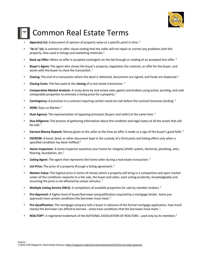

# <span id="page-3-0"></span>Common Real Estate Terms

- Appraisal (n): A document of opinion of property value at a specific point in time.<sup>1</sup>
- **"As Is" (n):** A contract or offer clause stating that the seller will not repair or correct any problems with the property. Also used in listings and marketing materials.<sup>1</sup>
- Back-up Offer: When an offer is accepted contingent on the fall through or voiding of an accepted first offer.<sup>1</sup>
- **Buyer's Agent:** The agent who shows the buyer's property, negotiates the contract, or offer for the buyer, and works with the buyer to close the transaction.  $1$
- **Closing:** The end of a transaction where the deed is delivered, documents are signed, and funds are dispersed. <sup>1</sup>
- **Closing Costs:** The fees paid at the **closing** of a real estate transaction. <sup>1</sup>
- **Comparative Market Analysis:** A study done by real estate sales agents and brokers using active, pending, and sold comparable properties to estimate a listing price for a property.<sup>1</sup>
- **Contingency:** A provision in a contract requiring certain needs be met before the contract becomes binding.<sup>1</sup>
- **DOM:** Days on Market.<sup>1</sup>
- **Dual Agency:** The representation of opposing principals (buyers and seller) at the same time.<sup>1</sup>
- **Due Diligence:** The process of gathering information about the condition and legal status of all the assets that will be sold.<sup>1</sup>
- **Earnest Money Deposit:** Money given to the seller at the time an offer is made as a sign of the buyer's good faith.<sup>1</sup>
- **ESCROW:** A bond, deed, or other document kept in the custody of a third party and taking effect only when a specified condition has been fulfilled.<sup>2</sup>
- **Home Inspection**: A home inspector examines your home for integrity (HVAC system, electrical, plumbing, attic, flooring, foundation,  $etc.<sup>1</sup>$
- Listing Agent: The agent that represents the home seller during a real estate transaction.<sup>1</sup>
- List Price: The price of a property through a listing agreement.<sup>1</sup>
- **Market Value:** The highest price in terms of money which a property will bring in a competitive and open market under all the conditions requisite to a fair sale, the buyer and seller, each acting prudently, knowledgeably and assuming the price is not affected by undue stimulus.<sup>1</sup>
- **Multiple Listing Service (MLS):** A compilation of available properties for sale by member brokers. <sup>1</sup>
- **Pre-Approval:** A higher level of buyer/borrower prequalification required by a mortgage lender. Some preapprovals have certain conditions the borrower must meet.<sup>1</sup>
- **Pre-Qualification:** The mortgage company tells a buyer in advance of the formal mortgage application, how much money the borrower can afford to borrow - some have conditions that the borrower must meet.  $1$
- **REALTOR®:** A registered trademark of the NATIONAL ASSOCIATION OF REALTORS used only by its members.<sup>1</sup>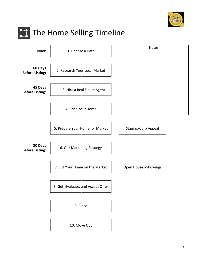

<span id="page-4-0"></span>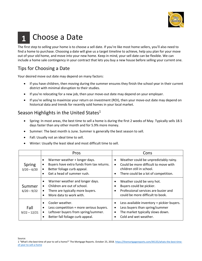

### <span id="page-5-0"></span>Choose a Date **1**

The first step to selling your home is to choose a sell date. If you're like most home sellers, you'll also need to find a home to purchase. Choosing a date will give us a target timeline to achieve, help you plan for your move out of your old home, and move into your new home. Keep in mind, your sell date can be flexible. We can include a home sale contingency in your contract that lets you buy a new house before selling your current one.

# Tips for Choosing a Date

Your desired move out date may depend on many factors:

- If you have children, then moving during the summer ensures they finish the school year in their current district with minimal disruption to their studies.
- If you're relocating for a new job, then your move-out date may depend on your employer.
- If you're selling to maximize your return on investment (ROI), then your move-out date may depend on historical data and trends for recently sold homes in your local market.

# Season Highlights in the United States<sup>1</sup>

- Spring: In most areas, the best time to sell a home is during the first 2 weeks of May. Typically sells 18.5 days faster than any other month and for 5.9% more money.
- Summer: The best month is June. Summer is generally the best season to sell.
- Fall: Usually not an ideal time to sell.
- Winter: Usually the least ideal and most difficult time to sell.

|                         | Pros                                                                                                                                                                         | Cons                                                                                                                                               |
|-------------------------|------------------------------------------------------------------------------------------------------------------------------------------------------------------------------|----------------------------------------------------------------------------------------------------------------------------------------------------|
| Spring<br>$3/20 - 6/20$ | Warmer weather + longer days.<br>٠<br>Buyers have extra funds from tax returns.<br>Better foliage curb appeal.<br>$\bullet$<br>Get a head of summer rush.                    | Weather could be unpredictably rainy.<br>Could be more difficult to move with<br>children still in school.<br>There could be a lot of competition. |
| Summer<br>$6/20 - 9/22$ | Warmer weather and longer days.<br>Children are out of school.<br>$\bullet$<br>There are typically more buyers.<br>$\bullet$<br>More data to work with.<br>$\bullet$         | Weather could be very hot.<br>Buyers could be pickier.<br>Professional services are busier and<br>could be more difficult to book.                 |
| Fall<br>$9/22 - 12/21$  | Cooler weather.<br>$\bullet$<br>Less competition + more serious buyers.<br>$\bullet$<br>Leftover buyers from spring/summer.<br>$\bullet$<br>Better fall foliage curb appeal. | Less available inventory = pickier buyers.<br>Less buyers than spring/summer<br>The market typically slows down.<br>Cold and wet weather.          |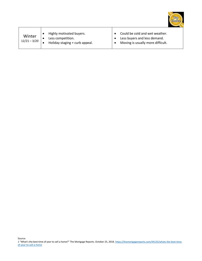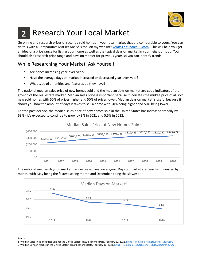

#### <span id="page-7-0"></span>Research Your Local Market **2**

Go online and research prices of recently sold homes in your local market that are comparable to yours. You can do this with a Comparative Market Analysis tool on my website: **[www.TopChoiceRE.com.](http://www.topchoicere.com/)** This will help you get an idea of a price range for listing your home as well as the typical days on market in your neighborhood. You should also research price range and days on market for previous years so you can identify trends.

# While Researching Your Market, Ask Yourself:

- Are prices increasing year-over-year?
- Have the average days on market increased or decreased year-over-year?
- What type of amenities and features do they have?

The national median sales price of new homes sold and the median days on market are good indicators of the growth of the real estate market. Median sales price is important because it indicates the middle price of all sold new sold homes with 50% of prices higher and 50% of prices lower. Median days on market is useful because it shows you how the amount of days it takes to sell a home with 50% being higher and 50% being lower.

For the past decade, the median sales price of new homes sold in the United States has increased steadily by 63% - it's expected to continue to grow by 8% in 2021 and 5.5% in 2022.



The national median days on market has decreased year-over-year. Days on market are heavily influenced by month, with May being the fastest selling month and December being the slowest.



Source:

1 "Median Sales Price of Houses Sold for the United States" FRED Economic Data. February 10, 2021[. https://fred.stlouisfed.org/series/MSPUS#0](https://fred.stlouisfed.org/series/MSPUS#0)

2 "Median Days on Market in the United States" FRED Economic Data. February 10, 2021[. https://fred.stlouisfed.org/series/MEDDAYONMARUS#0](https://fred.stlouisfed.org/series/MEDDAYONMARUS#0)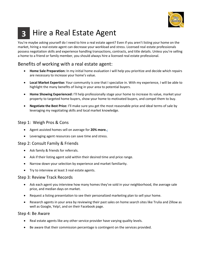

#### <span id="page-8-0"></span>Hire a Real Estate Agent **3**

You're maybe asking yourself do I need to hire a real estate agent? Even if you aren't listing your home on the market, hiring a real estate agent can decrease your workload and stress. Licensed real estate professionals possess negotiation skills and experience handling transactions, contracts, and title details. Unless you're selling a home to a friend or family member, you should always hire a licensed real estate professional.

# Benefits of working with a real estate agent:

- **Home Sale Preparation:** In my initial home evaluation I will help you prioritize and decide which repairs are necessary to increase your home's value.
- **Local Market Expertise:** Your community is one that I specialize in. With my experience, I will be able to highlight the many benefits of living in your area to potential buyers.
- **Home Showing Experienced:** I'll help professionally stage your home to increase its value, market your property to targeted home buyers, show your home to motivated buyers, and compel them to buy.
- **Negotiate the Best Price:** I'll make sure you get the most reasonable price and ideal terms of sale by leveraging my negotiating skills and local market knowledge.

#### Step 1: Weigh Pros & Cons

- Agent assisted homes sell on average for **20% more[.](https://www.nar.realtor/research-and-statistics/research-reports/highlights-from-the-profile-of-home-buyers-and-sellers)**<sup>1</sup>
- Leveraging agent resources can save time and stress.

#### Step 2: Consult Family & Friends

- Ask family & friends for referrals.
- Ask if their listing agent sold within their desired time and price range.
- Narrow down your selection by experience and market familiarity.
- Try to interview at least 3 real estate agents.

#### Step 3: Review Track Records

- Ask each agent you interview how many homes they've sold in your neighborhood, the average sale price, and median days on market.
- Request a listing presentation to see their personalized marketing plan to sell your home.
- Research agents in your area by reviewing their past sales on home search sites like Trulia and Zillow as well as Google, Yelp!, and on their Facebook page.

#### Step 4: Be Aware

- Real estate agents like any other service provider have varying quality levels.
- Be aware that their commission percentage is contingent on the services provided.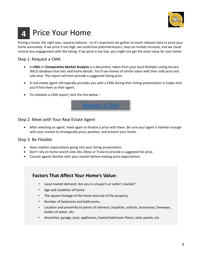

#### <span id="page-9-0"></span>Price Your Home **4**

Pricing a home, the right way, requires balance - so it's important we gather as much relevant data to price your home accurately. If we price it too high, we could lose potential buyers, days on market increase, and we could receive less engagement with the listing. If we price it too low, you might not get the most value for your home.

#### Step 1: Request a CMA

- A **CMA** or **Comparative Market Analysis** is a document, taken from your local Multiple Listing Service (MLS) database that lists sold home details. You'll see homes of similar value with their sold price and sale time. The report will then provide a suggested listing price.
- A real estate agent still typically provides you with a CMA during their listing presentation in hopes that you'll hire them as their agent.
- To schedule a CMA report, click the link below –



#### Step 2: Meet with Your Real Estate Agent

• After selecting an agent, meet again to finalize a price with them. Be sure your agent is familiar enough with your market to strategically price, position, and present your home.

#### Step 3: Be Flexible

- Have realistic expectations going into your listing presentation.
- Don't rely on home search sites like Zillow or Trulia to provide a suggested list price.
- Consult agents familiar with your market before making price expectations.

### **Factors That Affect Your Home's Value:**

- Local market demand: Are you in a buyer's or seller's market?
- Age and condition of home.
- The square footage of the home and size of the property.
- Number of bedrooms and bathrooms.
- Location and proximity to points of interests, hospitals, schools, businesses, freeways, bodies of water, etc.
- Amenities: garage, pool, appliances, heated bathroom floors, solar panels, etc.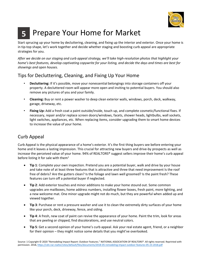

#### <span id="page-10-0"></span>Prepare Your Home for Market **5**

Start sprucing up your home by decluttering, cleaning, and fixing up the interior and exterior. Once your home is in tip-top shape, let's work together and decide whether staging and boosting curb appeal are appropriate strategies for you.

*After we decide on our staging and curb appeal strategy, we'll take high-resolution photos that highlight your home's best features, develop captivating copywrite for your listing, and decide the days and times are best for showings and open houses.*

# Tips for Decluttering, Cleaning, and Fixing Up Your Home

- **Decluttering:** If it's possible, move your nonessential belongings into storage containers off your property. A decluttered room will appear more open and inviting to potential buyers. You should also remove any pictures of you and your family.
- **Cleaning:** Buy or rent a power washer to deep clean exterior walls, windows, porch, deck, walkway, garage, driveway, etc.
- **Fixing Up:** Add a fresh coat a paint outside/inside, touch up, and complete cosmetic/functional fixes. If necessary, repair and/or replace screen doors/windows, facets, shower heads, lightbulbs, wall sockets, light switches, appliances, etc. When replacing items, consider upgrading them to smart home devices to increase the value of your home.

# Curb Appeal

Curb Appeal is the physical appearance of a home's exterior. It's the first thing buyers see before entering your home and it leaves a lasting impression. This crucial for attracting new buyers and drive-by prospects as well as increase the perceived value of your home. 94% of REALTORS® suggest sellers improve their home's curb appeal before listing it for sale with them<sup>1</sup>

- **Tip 1**: Complete your own inspection. Pretend you are a potential buyer, walk and drive by your house and take note of at least three features that is attractive and three that need improvement Is the roof free of debris? Are the gutters clean? Is the foliage and lawn well groomed? Is the paint fresh? These features can turn off a potential buyer if neglected.
- **Tip 2**: Add exterior touches and minor additions to make your home stound out. Some common upgrades are mailboxes, home address numbers, installing flower boxes, fresh paint, more lighting, and a new welcome mat. One minor upgrade might not do much, but they are powerful when added up and viewed together.
- **Tip 3**: Purchase or rent a pressure washer and use it to clean the extremely dirty surfaces of your home like your porch, deck, driveway, fence, and siding.
- **Tip 4**: A fresh, new coat of paint can revive the appearance of your home. Paint the trim, look for areas that are peeling or chipped, find discolorations, and use neutral colors.
- **Tip 5**: Get a second opinion of your home's curb appeal. Ask your real estate agent, friend, or a neighbor for their opinion – they might notice some details that you might've overlooked.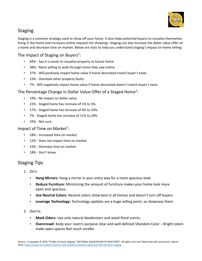

# **Staging**

Staging is a common strategy used to show off your home. It also helps potential buyers to visualize themselves living in the home and increases online requests for showings. Staging can also increase the dollar value offer on a home and decrease time on market. Below are stats to help you understand staging's impact on home selling:

#### The Impact of Staging on Buyers<sup>1</sup>:

- 83% Say it is easier to visualize property as future home.
- 38% More willing to walk through home they saw online.
- 37% Will positively impact home value if home decorated match buyer's taste.
- 23% Overlook other property faults.
- 7% Will negatively impact home value if home decorated doesn't match buyer's taste.

#### The Percentage Change in Dollar Value Offer of a Staged Home<sup>1</sup>:

- 19% No impact on dollar value.
- 22% Staged home has increase of 1% to 5%.
- 17% Staged home has increase of 6% to 10%.
- 7% Staged home has increase of 11% to 20%.
- 33% Not sure.

#### Impact of Time on Market<sup>1</sup>:

- 18% Increased time on market.
- 12% Does not impact time on market.
- 53% Decrease time on market.
- 18% Don't know.

#### Staging Tips

- 1. Do's:
	- **Hang Mirrors:** Hang a mirror in your entry way for a more spacious look.
	- **Reduce Furniture:** Minimizing the amount of furniture makes your home look more open and spacious.
	- **Use Neutral Colors:** Neutral colors show best in all homes and doesn't turn off buyers.
	- **Leverage Technology:** Technology updates are a huge selling point, so showcase them.
- 2. Don'ts:
	- **Mask Odors:** Use only natural deodorizers and avoid floral scents.
	- **Overcrowd**: Keep your room's purpose clear and well defined.\Random Color Bright colors make open spaces feel much smaller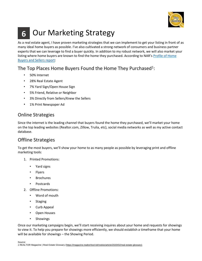

# <span id="page-12-0"></span>Our Marketing Strategy **6**

As a real estate agent, I have proven marketing strategies that we can implement to get your listing in front of as many ideal home buyers as possible. I've also cultivated a strong network of consumers and business partner experts that we can leverage to find a buyer quickly. In addition to my robust network, we will also market your listing where home buyers are known to find the home they purchased. According to NAR's Profile of Home [Buyers and Sellers report:](https://www.nar.realtor/research-and-statistics/research-reports/highlights-from-the-profile-of-home-buyers-and-sellers)

# The Top Places Home Buyers Found the Home They Purchased<sup>1</sup>:

- 50% Internet
- 28% Real Estate Agent
- 7% Yard Sign/Open House Sign
- 5% Friend, Relative or Neighbor
- 3% Directly from Sellers/Knew the Sellers
- 1% Print Newspaper Ad

# Online Strategies

Since the internet is the leading channel that buyers found the home they purchased, we'll market your home on the top leading websites (Realtor.com, Zillow, Trulia, etc), social media networks as well as my active contact database.

# Offline Strategies

To get the most buyers, we'll show your home to as many people as possible by leveraging print and offline marketing tools:

- 1. Printed Promotions:
	- Yard signs
	- Flyers
	- **Brochures**
	- Postcards
- 2. Offline Promotions:
	- Word of mouth
	- Staging
	- Curb Appeal
	- Open Houses
	- Showings

Once our marketing campaigns begin, we'll start receiving inquires about your home and requests for showings to view it. To help you prepare for showings more efficiently, we should establish a timeframe that your home will be available for showings – the Showing Period.

Source: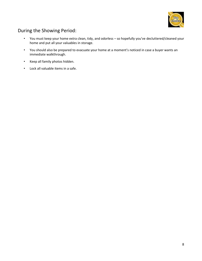

# During the Showing Period:

- You must keep your home extra clean, tidy, and odorless so hopefully you've decluttered/cleaned your home and put all your valuables in storage.
- You should also be prepared to evacuate your home at a moment's noticed in case a buyer wants an immediate walkthrough.
- Keep all family photos hidden.
- Lock all valuable items in a safe.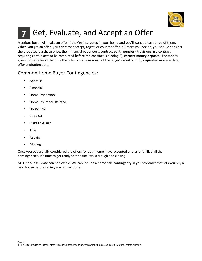

#### <span id="page-14-0"></span>Get, Evaluate, and Accept an Offer **7**

A serious buyer will make an offer if they're interested in your home and you'll want at least three of them. When you get an offer, you can either accept, reject, or counter offer it. Before you decide, you should consider the proposed purchase price, their financial paperwork, contract **contingencies** (Provisions in a contract requiring certain acts to be completed before the contract is binding. <sup>1</sup>), earnest money deposit, (The money given to the seller at the time the offer is made as a sign of the buyer's good faith. <sup>1</sup>), requested move-in date, offer expiration date.

# Common Home Buyer Contingencies:

- **Appraisal**
- **Financial**
- Home Inspection
- Home Insurance-Related
- House Sale
- Kick-Out
- **Right to Assign**
- Title
- **Repairs**
- **Moving**

Once you've carefully considered the offers for your home, have accepted one, and fulfilled all the contingencies, it's time to get ready for the final walkthrough and closing.

NOTE: Your sell date can be flexible. We can include a home sale contingency in your contract that lets you buy a new house before selling your current one.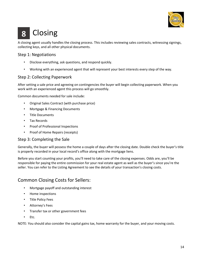

# <span id="page-15-0"></span>Closing **8**

A closing agent usually handles the closing process. This includes reviewing sales contracts, witnessing signings, collecting keys, and all other physical documents.

#### Step 1: Negotiations

- Disclose everything, ask questions, and respond quickly.
- Working with an experienced agent that will represent your best interests every step of the way.

#### Step 2: Collecting Paperwork

After setting a sale price and agreeing on contingencies the buyer will begin collecting paperwork. When you work with an experienced agent this process will go smoothly.

Common documents needed for sale include:

- Original Sales Contract (with purchase price)
- Mortgage & Financing Documents
- Title Documents
- Tax Records
- Proof of Professional Inspections
- Proof of Home Repairs (receipts)

#### Step 3: Completing the Sale

Generally, the buyer will possess the home a couple of days after the closing date. Double check the buyer's title is properly recorded in your local record's office along with the mortgage liens.

Before you start counting your profits, you'll need to take care of the closing expenses. Odds are, you'll be responsible for paying the entire commission for your real estate agent as well as the buyer's since you're the seller. You can refer to the Listing Agreement to see the details of your transaction's closing costs.

#### Common Closing Costs for Sellers:

- Mortgage payoff and outstanding interest
- Home inspections
- Title Policy Fees
- Attorney's Fees
- Transfer tax or other government fees
- Etc.

NOTE: You should also consider the capital gains tax, home warranty for the buyer, and your moving costs.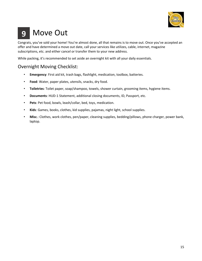

# <span id="page-16-0"></span>Move Out **9**

Congrats, you've sold your home! You're almost done, all that remains is to move out. Once you've accepted an offer and have determined a move out date, call your services like utilizes, cable, internet, magazine subscriptions, etc. and either cancel or transfer them to your new address.

While packing, it's recommended to set aside an overnight kit with all your daily essentials.

# Overnight Moving Checklist:

- **Emergency**: First aid kit, trash bags, flashlight, medication, toolbox, batteries.
- **Food**: Water, paper plates, utensils, snacks, dry food.
- **Toiletries**: Toilet paper, soap/shampoo, towels, shower curtain, grooming items, hygiene items.
- **Documents**: HUD-1 Statement, additional closing documents, ID, Passport, etc.
- **Pets**: Pet food, bowls, leash/collar, bed, toys, medication.
- **Kids**: Games, books, clothes, kid supplies, pajamas, night light, school supplies.
- **Misc**.: Clothes, work clothes, pen/paper, cleaning supplies, bedding/pillows, phone charger, power bank, laptop.